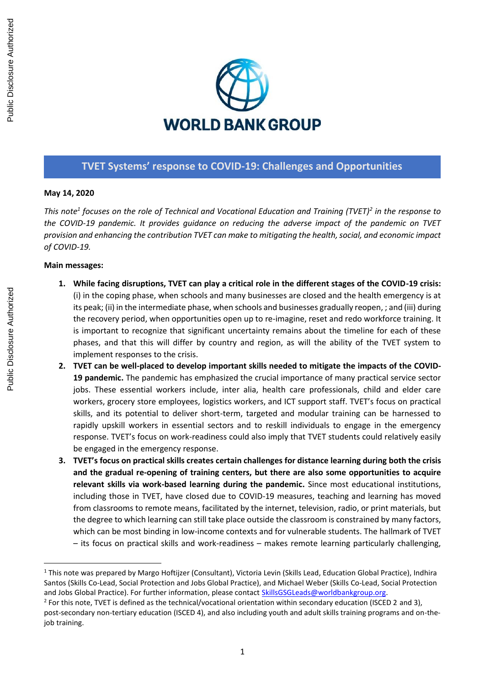

### **TVET Systems' response to COVID-19: Challenges and Opportunities**

#### **May 14, 2020**

*This note<sup>1</sup> focuses on the role of Technical and Vocational Education and Training (TVET)<sup>2</sup> in the response to the COVID-19 pandemic. It provides guidance on reducing the adverse impact of the pandemic on TVET provision and enhancing the contribution TVET can make to mitigating the health, social, and economic impact of COVID-19.* 

#### **Main messages:**

- **1. While facing disruptions, TVET can play a critical role in the different stages of the COVID-19 crisis:** (i) in the coping phase, when schools and many businesses are closed and the health emergency is at its peak; (ii) in the intermediate phase, when schools and businesses gradually reopen, ; and (iii) during the recovery period, when opportunities open up to re-imagine, reset and redo workforce training. It is important to recognize that significant uncertainty remains about the timeline for each of these phases, and that this will differ by country and region, as will the ability of the TVET system to implement responses to the crisis.
- **2. TVET can be well-placed to develop important skills needed to mitigate the impacts of the COVID-19 pandemic.** The pandemic has emphasized the crucial importance of many practical service sector jobs. These essential workers include, inter alia, health care professionals, child and elder care workers, grocery store employees, logistics workers, and ICT support staff. TVET's focus on practical skills, and its potential to deliver short-term, targeted and modular training can be harnessed to rapidly upskill workers in essential sectors and to reskill individuals to engage in the emergency response. TVET's focus on work-readiness could also imply that TVET students could relatively easily be engaged in the emergency response.
- **3. TVET's focus on practical skills creates certain challenges for distance learning during both the crisis and the gradual re-opening of training centers, but there are also some opportunities to acquire relevant skills via work-based learning during the pandemic.** Since most educational institutions, including those in TVET, have closed due to COVID-19 measures, teaching and learning has moved from classrooms to remote means, facilitated by the internet, television, radio, or print materials, but the degree to which learning can still take place outside the classroom is constrained by many factors, which can be most binding in low-income contexts and for vulnerable students. The hallmark of TVET – its focus on practical skills and work-readiness – makes remote learning particularly challenging,

Public Disclosure Authorized

Public Disclosure Authorized

<sup>&</sup>lt;sup>1</sup> This note was prepared by Margo Hoftijzer (Consultant), Victoria Levin (Skills Lead, Education Global Practice), Indhira Santos (Skills Co-Lead, Social Protection and Jobs Global Practice), and Michael Weber (Skills Co-Lead, Social Protection and Jobs Global Practice). For further information, please contact [SkillsGSGLeads@worldbankgroup.org.](mailto:SkillsGSGLeads@worldbankgroup.org)

 $2$  For this note, TVET is defined as the technical/vocational orientation within secondary education (ISCED 2 and 3), post-secondary non-tertiary education (ISCED 4), and also including youth and adult skills training programs and on-thejob training.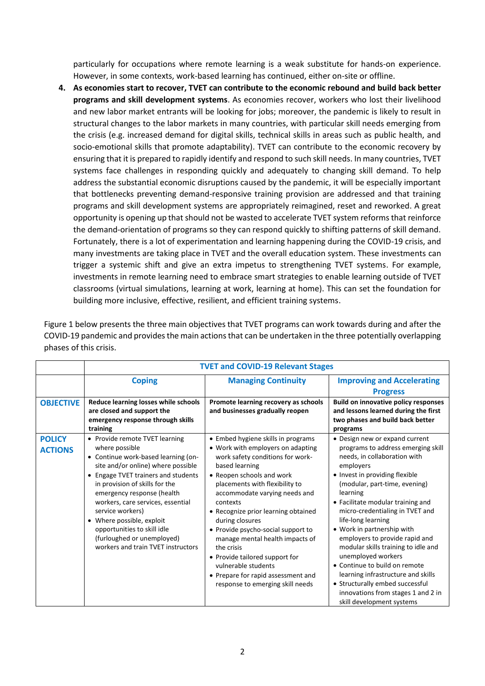particularly for occupations where remote learning is a weak substitute for hands-on experience. However, in some contexts, work-based learning has continued, either on-site or offline.

**4. As economies start to recover, TVET can contribute to the economic rebound and build back better programs and skill development systems**. As economies recover, workers who lost their livelihood and new labor market entrants will be looking for jobs; moreover, the pandemic is likely to result in structural changes to the labor markets in many countries, with particular skill needs emerging from the crisis (e.g. increased demand for digital skills, technical skills in areas such as public health, and socio-emotional skills that promote adaptability). TVET can contribute to the economic recovery by ensuring that it is prepared to rapidly identify and respond to such skill needs. In many countries, TVET systems face challenges in responding quickly and adequately to changing skill demand. To help address the substantial economic disruptions caused by the pandemic, it will be especially important that bottlenecks preventing demand-responsive training provision are addressed and that training programs and skill development systems are appropriately reimagined, reset and reworked. A great opportunity is opening up that should not be wasted to accelerate TVET system reforms that reinforce the demand-orientation of programs so they can respond quickly to shifting patterns of skill demand. Fortunately, there is a lot of experimentation and learning happening during the COVID-19 crisis, and many investments are taking place in TVET and the overall education system. These investments can trigger a systemic shift and give an extra impetus to strengthening TVET systems. For example, investments in remote learning need to embrace smart strategies to enable learning outside of TVET classrooms (virtual simulations, learning at work, learning at home). This can set the foundation for building more inclusive, effective, resilient, and efficient training systems.

Figure 1 below presents the three main objectives that TVET programs can work towards during and after the COVID-19 pandemic and provides the main actions that can be undertaken in the three potentially overlapping phases of this crisis.

|                                 | <b>TVET and COVID-19 Relevant Stages</b>                                                                                                                                                                                                                                                                                                                                                                                      |                                                                                                                                                                                                                                                                                                                                                                                                                                                                                                                               |                                                                                                                                                                                                                                                                                                                                                                                                                                                                                                                                                                                                          |
|---------------------------------|-------------------------------------------------------------------------------------------------------------------------------------------------------------------------------------------------------------------------------------------------------------------------------------------------------------------------------------------------------------------------------------------------------------------------------|-------------------------------------------------------------------------------------------------------------------------------------------------------------------------------------------------------------------------------------------------------------------------------------------------------------------------------------------------------------------------------------------------------------------------------------------------------------------------------------------------------------------------------|----------------------------------------------------------------------------------------------------------------------------------------------------------------------------------------------------------------------------------------------------------------------------------------------------------------------------------------------------------------------------------------------------------------------------------------------------------------------------------------------------------------------------------------------------------------------------------------------------------|
|                                 | <b>Coping</b>                                                                                                                                                                                                                                                                                                                                                                                                                 | <b>Managing Continuity</b>                                                                                                                                                                                                                                                                                                                                                                                                                                                                                                    | <b>Improving and Accelerating</b><br><b>Progress</b>                                                                                                                                                                                                                                                                                                                                                                                                                                                                                                                                                     |
| <b>OBJECTIVE</b>                | Reduce learning losses while schools<br>are closed and support the<br>emergency response through skills<br>training                                                                                                                                                                                                                                                                                                           | Promote learning recovery as schools<br>and businesses gradually reopen                                                                                                                                                                                                                                                                                                                                                                                                                                                       | <b>Build on innovative policy responses</b><br>and lessons learned during the first<br>two phases and build back better<br>programs                                                                                                                                                                                                                                                                                                                                                                                                                                                                      |
| <b>POLICY</b><br><b>ACTIONS</b> | • Provide remote TVET learning<br>where possible<br>• Continue work-based learning (on-<br>site and/or online) where possible<br>• Engage TVET trainers and students<br>in provision of skills for the<br>emergency response (health<br>workers, care services, essential<br>service workers)<br>• Where possible, exploit<br>opportunities to skill idle<br>(furloughed or unemployed)<br>workers and train TVET instructors | • Embed hygiene skills in programs<br>• Work with employers on adapting<br>work safety conditions for work-<br>based learning<br>• Reopen schools and work<br>placements with flexibility to<br>accommodate varying needs and<br>contexts<br>• Recognize prior learning obtained<br>during closures<br>• Provide psycho-social support to<br>manage mental health impacts of<br>the crisis<br>• Provide tailored support for<br>vulnerable students<br>• Prepare for rapid assessment and<br>response to emerging skill needs | • Design new or expand current<br>programs to address emerging skill<br>needs, in collaboration with<br>employers<br>• Invest in providing flexible<br>(modular, part-time, evening)<br>learning<br>• Facilitate modular training and<br>micro-credentialing in TVET and<br>life-long learning<br>• Work in partnership with<br>employers to provide rapid and<br>modular skills training to idle and<br>unemployed workers<br>• Continue to build on remote<br>learning infrastructure and skills<br>• Structurally embed successful<br>innovations from stages 1 and 2 in<br>skill development systems |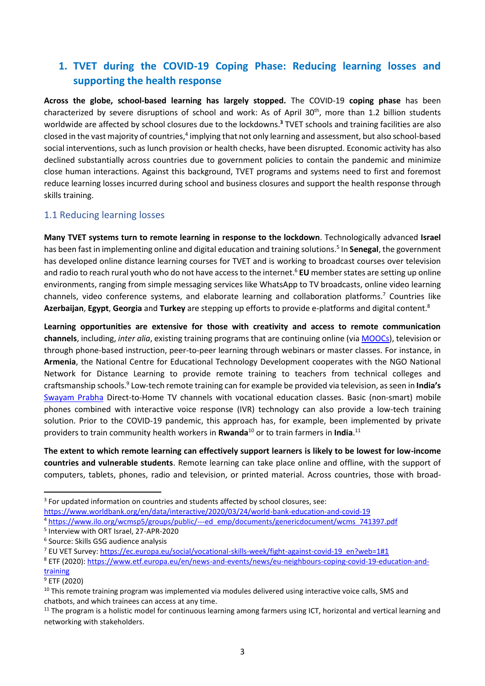## **1. TVET during the COVID-19 Coping Phase: Reducing learning losses and supporting the health response**

**Across the globe, school-based learning has largely stopped.** The COVID-19 **coping phase** has been characterized by severe disruptions of school and work: As of April 30<sup>th</sup>, more than 1.2 billion students worldwide are affected by school closures due to the lockdowns. **<sup>3</sup>** TVET schools and training facilities are also closed in the vast majority of countries,<sup>4</sup> implying that not only learning and assessment, but also school-based social interventions, such as lunch provision or health checks, have been disrupted. Economic activity has also declined substantially across countries due to government policies to contain the pandemic and minimize close human interactions. Against this background, TVET programs and systems need to first and foremost reduce learning losses incurred during school and business closures and support the health response through skills training.

### 1.1 Reducing learning losses

**Many TVET systems turn to remote learning in response to the lockdown**. Technologically advanced **Israel** has been fast in implementing online and digital education and training solutions.<sup>5</sup> In **Senegal**, the government has developed online distance learning courses for TVET and is working to broadcast courses over television and radio to reach rural youth who do not have access to the internet. <sup>6</sup> **EU** member states are setting up online environments, ranging from simple messaging services like WhatsApp to TV broadcasts, online video learning channels, video conference systems, and elaborate learning and collaboration platforms.<sup>7</sup> Countries like **Azerbaijan**, **Egypt**, **Georgia** and **Turkey** are stepping up efforts to provide e-platforms and digital content.<sup>8</sup>

**Learning opportunities are extensive for those with creativity and access to remote communication channels**, including, *inter alia*, existing training programs that are continuing online (via [MOOCs\)](https://www.edx.org/professional-certificate), television or through phone-based instruction, peer-to-peer learning through webinars or master classes. For instance, in **Armenia**, the National Centre for Educational Technology Development cooperates with the NGO National Network for Distance Learning to provide remote training to teachers from technical colleges and craftsmanship schools.<sup>9</sup> Low-tech remote training can for example be provided via television, as seen in **India's** [Swayam Prabha](https://swayamprabha.gov.in/) Direct-to-Home TV channels with vocational education classes. Basic (non-smart) mobile phones combined with interactive voice response (IVR) technology can also provide a low-tech training solution. Prior to the COVID-19 pandemic, this approach has, for example, been implemented by private providers to train community health workers in **Rwanda**<sup>10</sup> or to train farmers in **India**.<sup>11</sup>

**The extent to which remote learning can effectively support learners is likely to be lowest for low-income countries and vulnerable students**. Remote learning can take place online and offline, with the support of computers, tablets, phones, radio and television, or printed material. Across countries, those with broad-

<sup>4</sup> [https://www.ilo.org/wcmsp5/groups/public/---ed\\_emp/documents/genericdocument/wcms\\_741397.pdf](https://www.ilo.org/wcmsp5/groups/public/---ed_emp/documents/genericdocument/wcms_741397.pdf)

<sup>&</sup>lt;sup>3</sup> For updated information on countries and students affected by school closures, see:

<https://www.worldbank.org/en/data/interactive/2020/03/24/world-bank-education-and-covid-19>

<sup>5</sup> Interview with ORT Israel, 27-APR-2020

<sup>6</sup> Source: Skills GSG audience analysis

<sup>7</sup> EU VET Survey: [https://ec.europa.eu/social/vocational-skills-week/fight-against-covid-19\\_en?web=1#1](https://ec.europa.eu/social/vocational-skills-week/fight-against-covid-19_en?web=1#1)

<sup>8</sup> ETF (2020)[: https://www.etf.europa.eu/en/news-and-events/news/eu-neighbours-coping-covid-19-education-and](https://www.etf.europa.eu/en/news-and-events/news/eu-neighbours-coping-covid-19-education-and-training)[training](https://www.etf.europa.eu/en/news-and-events/news/eu-neighbours-coping-covid-19-education-and-training)

 $9$  ETF (2020)

 $10$  This remote training program was implemented via modules delivered using interactive voice calls, SMS and chatbots, and which trainees can access at any time.

 $11$  The program is a holistic model for continuous learning among farmers using ICT, horizontal and vertical learning and networking with stakeholders.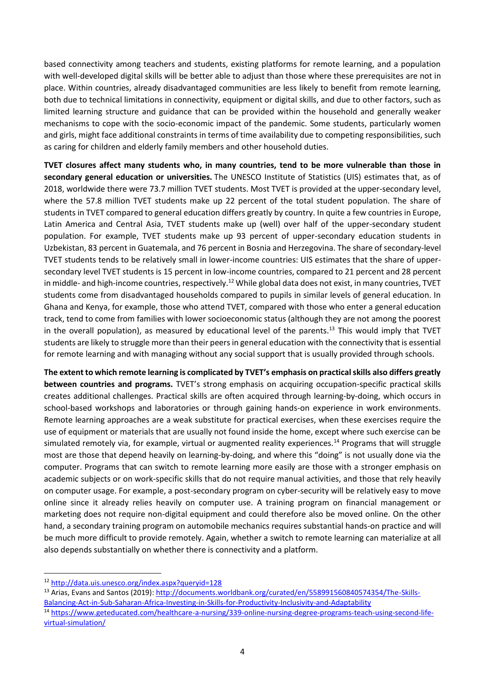based connectivity among teachers and students, existing platforms for remote learning, and a population with well-developed digital skills will be better able to adjust than those where these prerequisites are not in place. Within countries, already disadvantaged communities are less likely to benefit from remote learning, both due to technical limitations in connectivity, equipment or digital skills, and due to other factors, such as limited learning structure and guidance that can be provided within the household and generally weaker mechanisms to cope with the socio-economic impact of the pandemic. Some students, particularly women and girls, might face additional constraints in terms of time availability due to competing responsibilities, such as caring for children and elderly family members and other household duties.

**TVET closures affect many students who, in many countries, tend to be more vulnerable than those in secondary general education or universities.** The UNESCO Institute of Statistics (UIS) estimates that, as of 2018, worldwide there were 73.7 million TVET students. Most TVET is provided at the upper-secondary level, where the 57.8 million TVET students make up 22 percent of the total student population. The share of students in TVET compared to general education differs greatly by country. In quite a few countries in Europe, Latin America and Central Asia, TVET students make up (well) over half of the upper-secondary student population. For example, TVET students make up 93 percent of upper-secondary education students in Uzbekistan, 83 percent in Guatemala, and 76 percent in Bosnia and Herzegovina. The share of secondary-level TVET students tends to be relatively small in lower-income countries: UIS estimates that the share of uppersecondary level TVET students is 15 percent in low-income countries, compared to 21 percent and 28 percent in middle- and high-income countries, respectively.<sup>12</sup> While global data does not exist, in many countries, TVET students come from disadvantaged households compared to pupils in similar levels of general education. In Ghana and Kenya, for example, those who attend TVET, compared with those who enter a general education track, tend to come from families with lower socioeconomic status (although they are not among the poorest in the overall population), as measured by educational level of the parents.<sup>13</sup> This would imply that TVET students are likely to struggle more than their peers in general education with the connectivity that is essential for remote learning and with managing without any social support that is usually provided through schools.

**The extent to which remote learning is complicated by TVET's emphasis on practical skills also differs greatly between countries and programs.** TVET's strong emphasis on acquiring occupation-specific practical skills creates additional challenges. Practical skills are often acquired through learning-by-doing, which occurs in school-based workshops and laboratories or through gaining hands-on experience in work environments. Remote learning approaches are a weak substitute for practical exercises, when these exercises require the use of equipment or materials that are usually not found inside the home, except where such exercise can be simulated remotely via, for example, virtual or augmented reality experiences.<sup>14</sup> Programs that will struggle most are those that depend heavily on learning-by-doing, and where this "doing" is not usually done via the computer. Programs that can switch to remote learning more easily are those with a stronger emphasis on academic subjects or on work-specific skills that do not require manual activities, and those that rely heavily on computer usage. For example, a post-secondary program on cyber-security will be relatively easy to move online since it already relies heavily on computer use. A training program on financial management or marketing does not require non-digital equipment and could therefore also be moved online. On the other hand, a secondary training program on automobile mechanics requires substantial hands-on practice and will be much more difficult to provide remotely. Again, whether a switch to remote learning can materialize at all also depends substantially on whether there is connectivity and a platform.

13 Arias, Evans and Santos (2019): [http://documents.worldbank.org/curated/en/558991560840574354/The-Skills-](http://documents.worldbank.org/curated/en/558991560840574354/The-Skills-Balancing-Act-in-Sub-Saharan-Africa-Investing-in-Skills-for-Productivity-Inclusivity-and-Adaptability)[Balancing-Act-in-Sub-Saharan-Africa-Investing-in-Skills-for-Productivity-Inclusivity-and-Adaptability](http://documents.worldbank.org/curated/en/558991560840574354/The-Skills-Balancing-Act-in-Sub-Saharan-Africa-Investing-in-Skills-for-Productivity-Inclusivity-and-Adaptability) <sup>14</sup> [https://www.geteducated.com/healthcare-a-nursing/339-online-nursing-degree-programs-teach-using-second-life-](https://www.geteducated.com/healthcare-a-nursing/339-online-nursing-degree-programs-teach-using-second-life-virtual-simulation/)

[virtual-simulation/](https://www.geteducated.com/healthcare-a-nursing/339-online-nursing-degree-programs-teach-using-second-life-virtual-simulation/)

<sup>12</sup> <http://data.uis.unesco.org/index.aspx?queryid=128>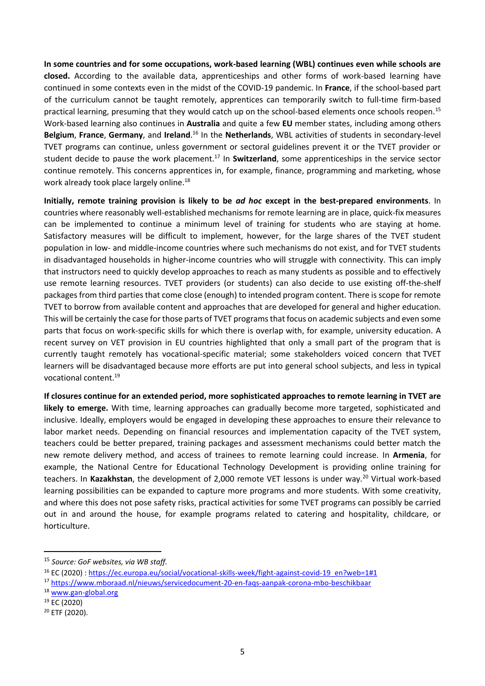**In some countries and for some occupations, work-based learning (WBL) continues even while schools are closed.** According to the available data, apprenticeships and other forms of work-based learning have continued in some contexts even in the midst of the COVID-19 pandemic. In **France**, if the school-based part of the curriculum cannot be taught remotely, apprentices can temporarily switch to full-time firm-based practical learning, presuming that they would catch up on the school-based elements once schools reopen.<sup>15</sup> Work-based learning also continues in **Australia** and quite a few **EU** member states, including among others **Belgium**, **France**, **Germany**, and **Ireland**. <sup>16</sup> In the **Netherlands**, WBL activities of students in secondary-level TVET programs can continue, unless government or sectoral guidelines prevent it or the TVET provider or student decide to pause the work placement.<sup>17</sup> In **Switzerland**, some apprenticeships in the service sector continue remotely. This concerns apprentices in, for example, finance, programming and marketing, whose work already took place largely online.<sup>18</sup>

**Initially, remote training provision is likely to be** *ad hoc* **except in the best-prepared environments**. In countries where reasonably well-established mechanisms for remote learning are in place, quick-fix measures can be implemented to continue a minimum level of training for students who are staying at home. Satisfactory measures will be difficult to implement, however, for the large shares of the TVET student population in low- and middle-income countries where such mechanisms do not exist, and for TVET students in disadvantaged households in higher-income countries who will struggle with connectivity. This can imply that instructors need to quickly develop approaches to reach as many students as possible and to effectively use remote learning resources. TVET providers (or students) can also decide to use existing off-the-shelf packages from third parties that come close (enough) to intended program content. There is scope for remote TVET to borrow from available content and approaches that are developed for general and higher education. This will be certainly the case for those parts of TVET programs that focus on academic subjects and even some parts that focus on work-specific skills for which there is overlap with, for example, university education. A recent survey on VET provision in EU countries highlighted that only a small part of the program that is currently taught remotely has vocational-specific material; some stakeholders voiced concern that TVET learners will be disadvantaged because more efforts are put into general school subjects, and less in typical vocational content. 19

**If closures continue for an extended period, more sophisticated approaches to remote learning in TVET are likely to emerge.** With time, learning approaches can gradually become more targeted, sophisticated and inclusive. Ideally, employers would be engaged in developing these approaches to ensure their relevance to labor market needs. Depending on financial resources and implementation capacity of the TVET system, teachers could be better prepared, training packages and assessment mechanisms could better match the new remote delivery method, and access of trainees to remote learning could increase. In **Armenia**, for example, the National Centre for Educational Technology Development is providing online training for teachers. In Kazakhstan, the development of 2,000 remote VET lessons is under way.<sup>20</sup> Virtual work-based learning possibilities can be expanded to capture more programs and more students. With some creativity, and where this does not pose safety risks, practical activities for some TVET programs can possibly be carried out in and around the house, for example programs related to catering and hospitality, childcare, or horticulture.

<sup>15</sup> *Source: GoF websites, via WB staff.*

<sup>16</sup> [EC](https://ec.europa.eu/social/vocational-skills-week/fight-against-covid-19_en?web=1#1) (2020) : [https://ec.europa.eu/social/vocational-skills-week/fight-against-covid-19\\_en?web=1#1](https://ec.europa.eu/social/vocational-skills-week/fight-against-covid-19_en?web=1#1)

<sup>17</sup> <https://www.mboraad.nl/nieuws/servicedocument-20-en-faqs-aanpak-corona-mbo-beschikbaar>

<sup>18</sup> [www.gan-global.org](http://www.gan-global.org/)

<sup>19</sup> EC (2020)

<sup>20</sup> ETF (2020).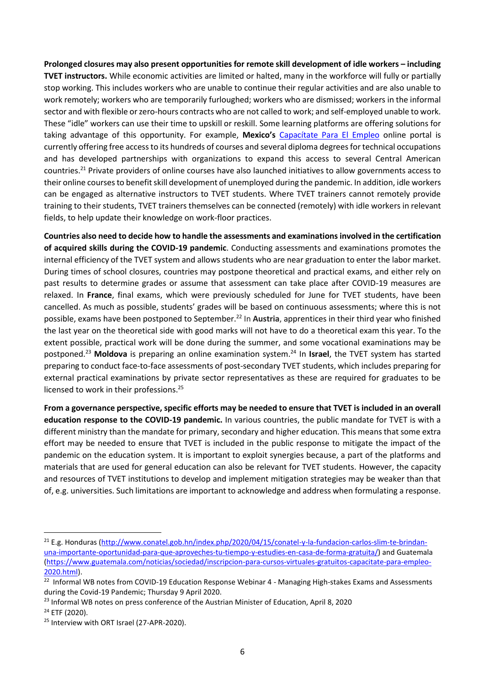**Prolonged closures may also present opportunities for remote skill development of idle workers – including TVET instructors.** While economic activities are limited or halted, many in the workforce will fully or partially stop working. This includes workers who are unable to continue their regular activities and are also unable to work remotely; workers who are temporarily furloughed; workers who are dismissed; workers in the informal sector and with flexible or zero-hours contracts who are not called to work; and self-employed unable to work. These "idle" workers can use their time to upskill or reskill. Some learning platforms are offering solutions for taking advantage of this opportunity. For example, **Mexico's** [Capacítate Para El Empleo](https://capacitateparaelempleo.org/) online portal is currently offering free access to its hundreds of courses and several diploma degrees for technical occupations and has developed partnerships with organizations to expand this access to several Central American countries.<sup>21</sup> Private providers of online courses have also launched initiatives to allow governments access to their online courses to benefit skill development of unemployed during the pandemic. In addition, idle workers can be engaged as alternative instructors to TVET students. Where TVET trainers cannot remotely provide training to their students, TVET trainers themselves can be connected (remotely) with idle workers in relevant fields, to help update their knowledge on work-floor practices.

**Countries also need to decide how to handle the assessments and examinations involved in the certification of acquired skills during the COVID-19 pandemic**. Conducting assessments and examinations promotes the internal efficiency of the TVET system and allows students who are near graduation to enter the labor market. During times of school closures, countries may postpone theoretical and practical exams, and either rely on past results to determine grades or assume that assessment can take place after COVID-19 measures are relaxed. In **France**, final exams, which were previously scheduled for June for TVET students, have been cancelled. As much as possible, students' grades will be based on continuous assessments; where this is not possible, exams have been postponed to September.<sup>22</sup> In **Austria**, apprentices in their third year who finished the last year on the theoretical side with good marks will not have to do a theoretical exam this year. To the extent possible, practical work will be done during the summer, and some vocational examinations may be postponed.<sup>23</sup> **Moldova** is preparing an online examination system.<sup>24</sup> In **Israel**, the TVET system has started preparing to conduct face-to-face assessments of post-secondary TVET students, which includes preparing for external practical examinations by private sector representatives as these are required for graduates to be licensed to work in their professions.<sup>25</sup>

**From a governance perspective, specific efforts may be needed to ensure that TVET is included in an overall education response to the COVID-19 pandemic.** In various countries, the public mandate for TVET is with a different ministry than the mandate for primary, secondary and higher education. This means that some extra effort may be needed to ensure that TVET is included in the public response to mitigate the impact of the pandemic on the education system. It is important to exploit synergies because, a part of the platforms and materials that are used for general education can also be relevant for TVET students. However, the capacity and resources of TVET institutions to develop and implement mitigation strategies may be weaker than that of, e.g. universities. Such limitations are important to acknowledge and address when formulating a response.

<sup>21</sup> E.g. Honduras [\(http://www.conatel.gob.hn/index.php/2020/04/15/conatel-y-la-fundacion-carlos-slim-te-brindan](http://www.conatel.gob.hn/index.php/2020/04/15/conatel-y-la-fundacion-carlos-slim-te-brindan-una-importante-oportunidad-para-que-aproveches-tu-tiempo-y-estudies-en-casa-de-forma-gratuita/)[una-importante-oportunidad-para-que-aproveches-tu-tiempo-y-estudies-en-casa-de-forma-gratuita/\)](http://www.conatel.gob.hn/index.php/2020/04/15/conatel-y-la-fundacion-carlos-slim-te-brindan-una-importante-oportunidad-para-que-aproveches-tu-tiempo-y-estudies-en-casa-de-forma-gratuita/) and Guatemala [\(https://www.guatemala.com/noticias/sociedad/inscripcion-para-cursos-virtuales-gratuitos-capacitate-para-empleo-](https://www.guatemala.com/noticias/sociedad/inscripcion-para-cursos-virtuales-gratuitos-capacitate-para-empleo-2020.html)[2020.html\)](https://www.guatemala.com/noticias/sociedad/inscripcion-para-cursos-virtuales-gratuitos-capacitate-para-empleo-2020.html).

<sup>&</sup>lt;sup>22</sup> Informal WB notes from COVID-19 Education Response Webinar 4 - Managing High-stakes Exams and Assessments during the Covid-19 Pandemic; Thursday 9 April 2020.

<sup>&</sup>lt;sup>23</sup> Informal WB notes on press conference of the Austrian Minister of Education, April 8, 2020 <sup>24</sup> ETF (2020).

<sup>&</sup>lt;sup>25</sup> Interview with ORT Israel (27-APR-2020).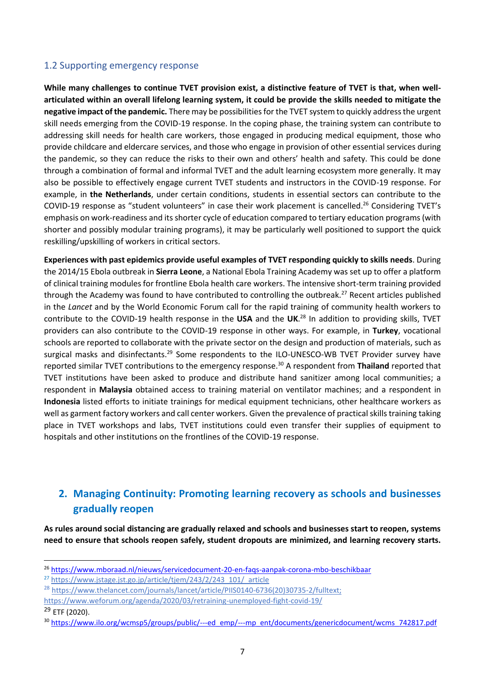### 1.2 Supporting emergency response

**While many challenges to continue TVET provision exist, a distinctive feature of TVET is that, when wellarticulated within an overall lifelong learning system, it could be provide the skills needed to mitigate the negative impact of the pandemic.** There may be possibilities for the TVET system to quickly address the urgent skill needs emerging from the COVID-19 response. In the coping phase, the training system can contribute to addressing skill needs for health care workers, those engaged in producing medical equipment, those who provide childcare and eldercare services, and those who engage in provision of other essential services during the pandemic, so they can reduce the risks to their own and others' health and safety. This could be done through a combination of formal and informal TVET and the adult learning ecosystem more generally. It may also be possible to effectively engage current TVET students and instructors in the COVID-19 response. For example, in **the Netherlands**, under certain conditions, students in essential sectors can contribute to the COVID-19 response as "student volunteers" in case their work placement is cancelled.<sup>26</sup> Considering TVET's emphasis on work-readiness and its shorter cycle of education compared to tertiary education programs (with shorter and possibly modular training programs), it may be particularly well positioned to support the quick reskilling/upskilling of workers in critical sectors.

**Experiences with past epidemics provide useful examples of TVET responding quickly to skills needs**. During the 2014/15 Ebola outbreak in **Sierra Leone**, a National Ebola Training Academy was set up to offer a platform of clinical training modules for frontline Ebola health care workers. The intensive short-term training provided through the Academy was found to have contributed to controlling the outbreak.<sup>27</sup> Recent articles published in the *Lancet* and by the World Economic Forum call for the rapid training of community health workers to contribute to the COVID-19 health response in the **USA** and the **UK**. <sup>28</sup> In addition to providing skills, TVET providers can also contribute to the COVID-19 response in other ways. For example, in **Turkey**, vocational schools are reported to collaborate with the private sector on the design and production of materials, such as surgical masks and disinfectants.<sup>29</sup> Some respondents to the ILO-UNESCO-WB TVET Provider survey have reported similar TVET contributions to the emergency response.<sup>30</sup> A respondent from **Thailand** reported that TVET institutions have been asked to produce and distribute hand sanitizer among local communities; a respondent in **Malaysia** obtained access to training material on ventilator machines; and a respondent in **Indonesia** listed efforts to initiate trainings for medical equipment technicians, other healthcare workers as well as garment factory workers and call center workers. Given the prevalence of practical skills training taking place in TVET workshops and labs, TVET institutions could even transfer their supplies of equipment to hospitals and other institutions on the frontlines of the COVID-19 response.

# **2. Managing Continuity: Promoting learning recovery as schools and businesses gradually reopen**

**As rules around social distancing are gradually relaxed and schools and businesses start to reopen, systems need to ensure that schools reopen safely, student dropouts are minimized, and learning recovery starts.** 

<sup>26</sup> <https://www.mboraad.nl/nieuws/servicedocument-20-en-faqs-aanpak-corona-mbo-beschikbaar>

<sup>27</sup> [https://www.jstage.jst.go.jp/article/tjem/243/2/243\\_101/\\_article](https://www.jstage.jst.go.jp/article/tjem/243/2/243_101/_article)

<sup>&</sup>lt;sup>28</sup> [https://www.thelancet.com/journals/lancet/article/PIIS0140-6736\(20\)30735-2/fulltext;](https://www.thelancet.com/journals/lancet/article/PIIS0140-6736(20)30735-2/fulltext)

<https://www.weforum.org/agenda/2020/03/retraining-unemployed-fight-covid-19/>

 $29$  FTF (2020).

<sup>30</sup> [https://www.ilo.org/wcmsp5/groups/public/---ed\\_emp/---mp\\_ent/documents/genericdocument/wcms\\_742817.pdf](https://www.ilo.org/wcmsp5/groups/public/---ed_emp/---mp_ent/documents/genericdocument/wcms_742817.pdf)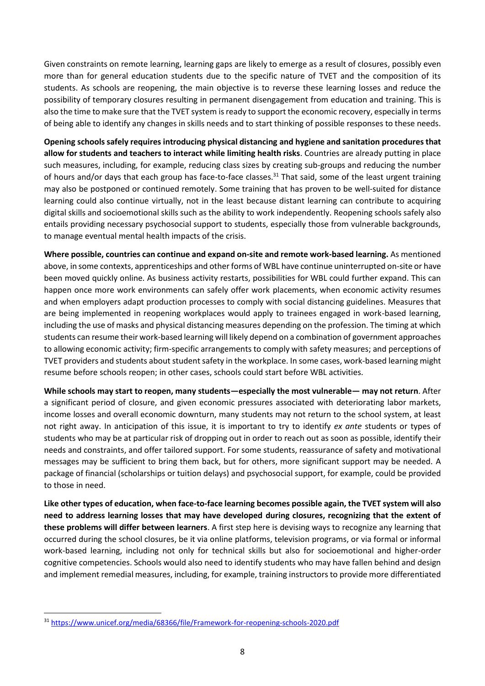Given constraints on remote learning, learning gaps are likely to emerge as a result of closures, possibly even more than for general education students due to the specific nature of TVET and the composition of its students. As schools are reopening, the main objective is to reverse these learning losses and reduce the possibility of temporary closures resulting in permanent disengagement from education and training. This is also the time to make sure that the TVET system is ready to support the economic recovery, especially in terms of being able to identify any changes in skills needs and to start thinking of possible responses to these needs.

**Opening schools safely requires introducing physical distancing and hygiene and sanitation procedures that allow for students and teachers to interact while limiting health risks**. Countries are already putting in place such measures, including, for example, reducing class sizes by creating sub-groups and reducing the number of hours and/or days that each group has face-to-face classes.<sup>31</sup> That said, some of the least urgent training may also be postponed or continued remotely. Some training that has proven to be well-suited for distance learning could also continue virtually, not in the least because distant learning can contribute to acquiring digital skills and socioemotional skills such as the ability to work independently. Reopening schools safely also entails providing necessary psychosocial support to students, especially those from vulnerable backgrounds, to manage eventual mental health impacts of the crisis.

**Where possible, countries can continue and expand on-site and remote work-based learning.** As mentioned above, in some contexts, apprenticeships and other forms of WBL have continue uninterrupted on-site or have been moved quickly online. As business activity restarts, possibilities for WBL could further expand. This can happen once more work environments can safely offer work placements, when economic activity resumes and when employers adapt production processes to comply with social distancing guidelines. Measures that are being implemented in reopening workplaces would apply to trainees engaged in work-based learning, including the use of masks and physical distancing measures depending on the profession. The timing at which students can resume their work-based learning will likely depend on a combination of government approaches to allowing economic activity; firm-specific arrangements to comply with safety measures; and perceptions of TVET providers and students about student safety in the workplace. In some cases, work-based learning might resume before schools reopen; in other cases, schools could start before WBL activities.

**While schools may start to reopen, many students—especially the most vulnerable— may not return**. After a significant period of closure, and given economic pressures associated with deteriorating labor markets, income losses and overall economic downturn, many students may not return to the school system, at least not right away. In anticipation of this issue, it is important to try to identify *ex ante* students or types of students who may be at particular risk of dropping out in order to reach out as soon as possible, identify their needs and constraints, and offer tailored support. For some students, reassurance of safety and motivational messages may be sufficient to bring them back, but for others, more significant support may be needed. A package of financial (scholarships or tuition delays) and psychosocial support, for example, could be provided to those in need.

**Like other types of education, when face-to-face learning becomes possible again, the TVET system will also need to address learning losses that may have developed during closures, recognizing that the extent of these problems will differ between learners**. A first step here is devising ways to recognize any learning that occurred during the school closures, be it via online platforms, television programs, or via formal or informal work-based learning, including not only for technical skills but also for socioemotional and higher-order cognitive competencies. Schools would also need to identify students who may have fallen behind and design and implement remedial measures, including, for example, training instructors to provide more differentiated

<sup>31</sup> <https://www.unicef.org/media/68366/file/Framework-for-reopening-schools-2020.pdf>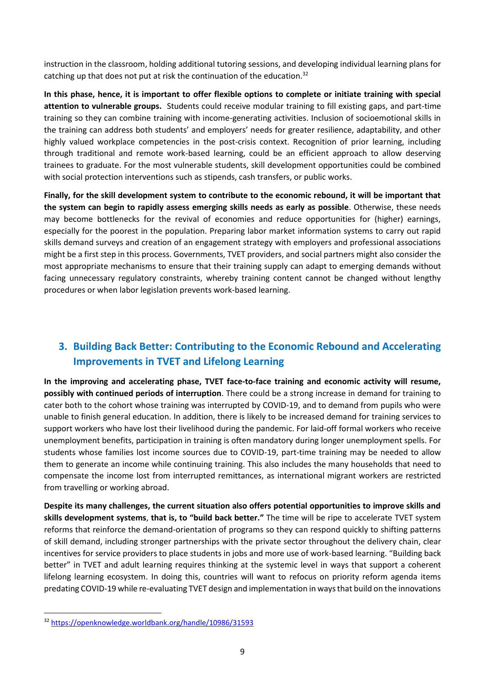instruction in the classroom, holding additional tutoring sessions, and developing individual learning plans for catching up that does not put at risk the continuation of the education.<sup>32</sup>

**In this phase, hence, it is important to offer flexible options to complete or initiate training with special attention to vulnerable groups.** Students could receive modular training to fill existing gaps, and part-time training so they can combine training with income-generating activities. Inclusion of socioemotional skills in the training can address both students' and employers' needs for greater resilience, adaptability, and other highly valued workplace competencies in the post-crisis context. Recognition of prior learning, including through traditional and remote work-based learning, could be an efficient approach to allow deserving trainees to graduate. For the most vulnerable students, skill development opportunities could be combined with social protection interventions such as stipends, cash transfers, or public works.

**Finally, for the skill development system to contribute to the economic rebound, it will be important that the system can begin to rapidly assess emerging skills needs as early as possible**. Otherwise, these needs may become bottlenecks for the revival of economies and reduce opportunities for (higher) earnings, especially for the poorest in the population. Preparing labor market information systems to carry out rapid skills demand surveys and creation of an engagement strategy with employers and professional associations might be a first step in this process. Governments, TVET providers, and social partners might also consider the most appropriate mechanisms to ensure that their training supply can adapt to emerging demands without facing unnecessary regulatory constraints, whereby training content cannot be changed without lengthy procedures or when labor legislation prevents work-based learning.

## **3. Building Back Better: Contributing to the Economic Rebound and Accelerating Improvements in TVET and Lifelong Learning**

**In the improving and accelerating phase, TVET face-to-face training and economic activity will resume, possibly with continued periods of interruption**. There could be a strong increase in demand for training to cater both to the cohort whose training was interrupted by COVID-19, and to demand from pupils who were unable to finish general education. In addition, there is likely to be increased demand for training services to support workers who have lost their livelihood during the pandemic. For laid-off formal workers who receive unemployment benefits, participation in training is often mandatory during longer unemployment spells. For students whose families lost income sources due to COVID-19, part-time training may be needed to allow them to generate an income while continuing training. This also includes the many households that need to compensate the income lost from interrupted remittances, as international migrant workers are restricted from travelling or working abroad.

**Despite its many challenges, the current situation also offers potential opportunities to improve skills and skills development systems**, **that is, to "build back better."** The time will be ripe to accelerate TVET system reforms that reinforce the demand-orientation of programs so they can respond quickly to shifting patterns of skill demand, including stronger partnerships with the private sector throughout the delivery chain, clear incentives for service providers to place students in jobs and more use of work-based learning. "Building back better" in TVET and adult learning requires thinking at the systemic level in ways that support a coherent lifelong learning ecosystem. In doing this, countries will want to refocus on priority reform agenda items predating COVID-19 while re-evaluating TVET design and implementation in ways that build on the innovations

<sup>32</sup> <https://openknowledge.worldbank.org/handle/10986/31593>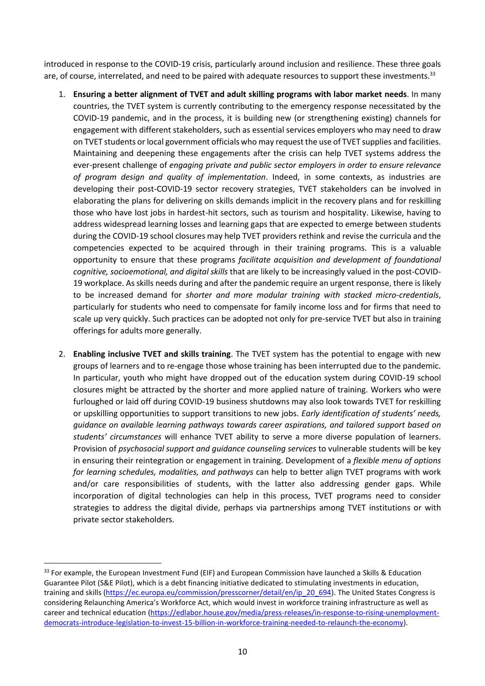introduced in response to the COVID-19 crisis, particularly around inclusion and resilience. These three goals are, of course, interrelated, and need to be paired with adequate resources to support these investments.<sup>33</sup>

- 1. **Ensuring a better alignment of TVET and adult skilling programs with labor market needs**. In many countries, the TVET system is currently contributing to the emergency response necessitated by the COVID-19 pandemic, and in the process, it is building new (or strengthening existing) channels for engagement with different stakeholders, such as essential services employers who may need to draw on TVET students or local government officials who may request the use of TVET supplies and facilities. Maintaining and deepening these engagements after the crisis can help TVET systems address the ever-present challenge of *engaging private and public sector employers in order to ensure relevance of program design and quality of implementation*. Indeed, in some contexts, as industries are developing their post-COVID-19 sector recovery strategies, TVET stakeholders can be involved in elaborating the plans for delivering on skills demands implicit in the recovery plans and for reskilling those who have lost jobs in hardest-hit sectors, such as tourism and hospitality. Likewise, having to address widespread learning losses and learning gaps that are expected to emerge between students during the COVID-19 school closures may help TVET providers rethink and revise the curricula and the competencies expected to be acquired through in their training programs. This is a valuable opportunity to ensure that these programs *facilitate acquisition and development of foundational cognitive, socioemotional, and digital skills* that are likely to be increasingly valued in the post-COVID-19 workplace. As skills needs during and after the pandemic require an urgent response, there is likely to be increased demand for *shorter and more modular training with stacked micro-credentials*, particularly for students who need to compensate for family income loss and for firms that need to scale up very quickly. Such practices can be adopted not only for pre-service TVET but also in training offerings for adults more generally.
- 2. **Enabling inclusive TVET and skills training**. The TVET system has the potential to engage with new groups of learners and to re-engage those whose training has been interrupted due to the pandemic. In particular, youth who might have dropped out of the education system during COVID-19 school closures might be attracted by the shorter and more applied nature of training. Workers who were furloughed or laid off during COVID-19 business shutdowns may also look towards TVET for reskilling or upskilling opportunities to support transitions to new jobs. *Early identification of students' needs, guidance on available learning pathways towards career aspirations, and tailored support based on students' circumstances* will enhance TVET ability to serve a more diverse population of learners. Provision of *psychosocial support and guidance counseling services* to vulnerable students will be key in ensuring their reintegration or engagement in training. Development of a *flexible menu of options for learning schedules, modalities, and pathways* can help to better align TVET programs with work and/or care responsibilities of students, with the latter also addressing gender gaps. While incorporation of digital technologies can help in this process, TVET programs need to consider strategies to address the digital divide, perhaps via partnerships among TVET institutions or with private sector stakeholders.

<sup>&</sup>lt;sup>33</sup> For example, the European Investment Fund (EIF) and European Commission have launched a Skills & Education Guarantee Pilot (S&E Pilot), which is a debt financing initiative dedicated to stimulating investments in education, training and skills [\(https://ec.europa.eu/commission/presscorner/detail/en/ip\\_20\\_694\)](https://ec.europa.eu/commission/presscorner/detail/en/ip_20_694). The United States Congress is considering Relaunching America's Workforce Act, which would invest in workforce training infrastructure as well as career and technical education [\(https://edlabor.house.gov/media/press-releases/in-response-to-rising-unemployment](https://edlabor.house.gov/media/press-releases/in-response-to-rising-unemployment-democrats-introduce-legislation-to-invest-15-billion-in-workforce-training-needed-to-relaunch-the-economy)[democrats-introduce-legislation-to-invest-15-billion-in-workforce-training-needed-to-relaunch-the-economy\)](https://edlabor.house.gov/media/press-releases/in-response-to-rising-unemployment-democrats-introduce-legislation-to-invest-15-billion-in-workforce-training-needed-to-relaunch-the-economy).